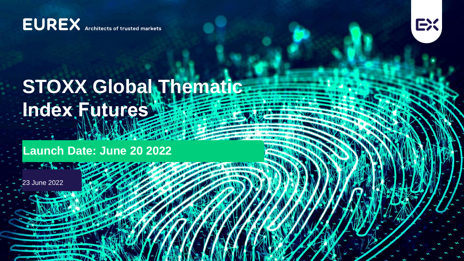**EUREX** Architects of trusted markets



## **STOXX Global Thematic Index Futures**

**Launch Date: June 20 2022**

23 June 2022

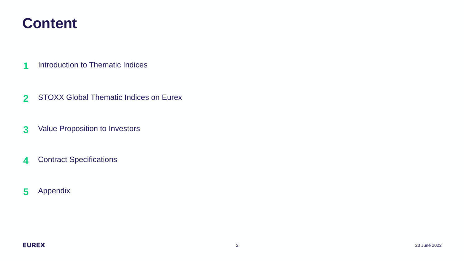### **Content**

- Introduction to Thematic Indices
- STOXX Global Thematic Indices on Eurex
- Value Proposition to Investors
- Contract Specifications
- Appendix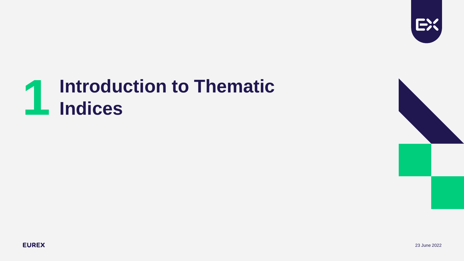

# **Introduction to Thematic 1 Indices**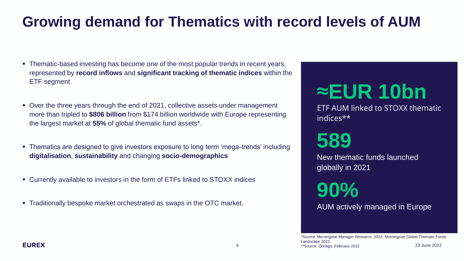### **Growing demand for Thematics with record levels of AUM**

- Thematic-based investing has become one of the most popular trends in recent years, represented by **record inflows** and **significant tracking of thematic indices** within the ETF segment.
- Over the three years through the end of 2021, collective assets under management more than tripled to **\$806 billion** from \$174 billion worldwide with Europe representing the largest market at **55%** of global thematic fund assets\*.
- Thematics are designed to give investors exposure to long term 'mega-trends' including **digitalisation**, **sustainability** and changing **socio-demographics**
- Currently available to investors in the form of ETFs linked to STOXX indices
- Traditionally bespoke market orchestrated as swaps in the OTC market.

## ≈**EUR 10bn**

ETF AUM linked to STOXX thematic indices\*\*

### **589**

New thematic funds launched globally in 2021

**90%**

AUM actively managed in Europe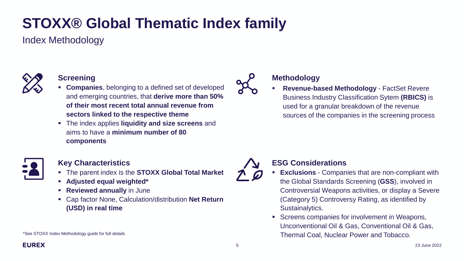### **STOXX® Global Thematic Index family**

Index Methodology



#### **Screening**

- **Companies**, belonging to a defined set of developed and emerging countries, that **derive more than 50% of their most recent total annual revenue from sectors linked to the respective theme**
- The index applies **liquidity and size screens** and aims to have a **minimum number of 80 components**



#### **Key Characteristics**

- The parent index is the **STOXX Global Total Market**
- **Adjusted equal weighted\***
- **Reviewed annually in June**
- Cap factor None, Calculation/distribution **Net Return (USD) in real time**

\*See STOXX Index Methodology guide for full details

### **Methodology**

**Revenue-based Methodology - FactSet Revere** Business Industry Classification Sytem **(RBICS)** is used for a granular breakdown of the revenue sources of the companies in the screening process



### **ESG Considerations**

- **Exclusions** Companies that are non-compliant with the Global Standards Screening (**GSS**), involved in Controversial Weapons activities, or display a Severe (Category 5) Controversy Rating, as identified by Sustainalytics.
- Screens companies for involvement in Weapons, Unconventional Oil & Gas, Conventional Oil & Gas, Thermal Coal, Nuclear Power and Tobacco.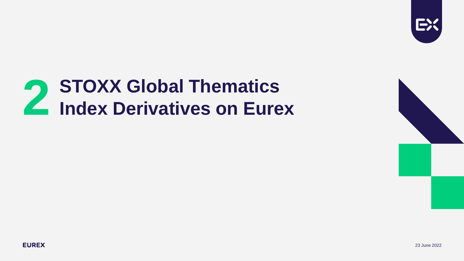

# **STOXX Global Thematics 2 Index Derivatives on Eurex**

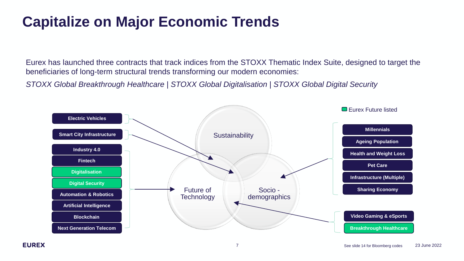### **Capitalize on Major Economic Trends**

Eurex has launched three contracts that track indices from the STOXX Thematic Index Suite, designed to target the beneficiaries of long-term structural trends transforming our modern economies:

*STOXX Global Breakthrough Healthcare | STOXX Global Digitalisation | STOXX Global Digital Security*

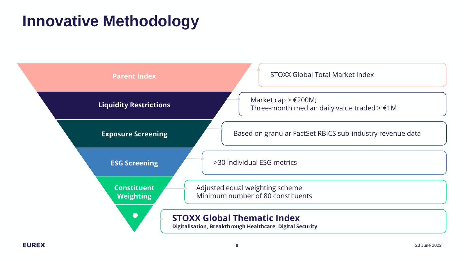### **Innovative Methodology**

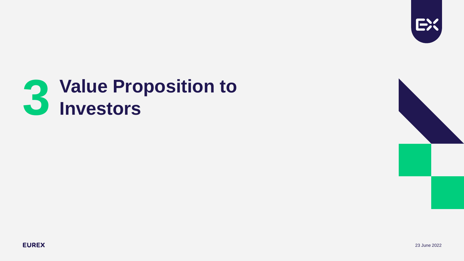

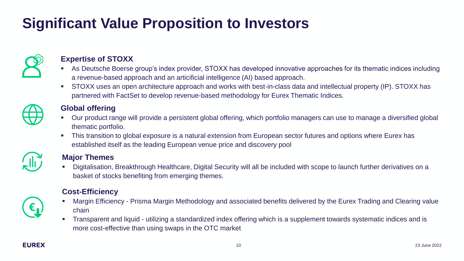### **Significant Value Proposition to Investors**



#### **Expertise of STOXX**

- As Deutsche Boerse group's index provider, STOXX has developed innovative approaches for its thematic indices including a revenue-based approach and an articificial intelligence (AI) based approach.
- STOXX uses an open architecture approach and works with best-in-class data and intellectual property (IP). STOXX has partnered with FactSet to develop revenue-based methodology for Eurex Thematic Indices.

#### **Global offering**

- Our product range will provide a persistent global offering, which portfolio managers can use to manage a diversified global thematic portfolio.
- This transition to global exposure is a natural extension from European sector futures and options where Eurex has established itself as the leading European venue price and discovery pool



#### **Major Themes**

Digitalisation, Breakthrough Healthcare, Digital Security will all be included with scope to launch further derivatives on a basket of stocks benefiting from emerging themes.

#### **Cost-Efficiency**

- Margin Efficiency Prisma Margin Methodology and associated benefits delivered by the Eurex Trading and Clearing value chain
- Transparent and liquid utilizing a standardized index offering which is a supplement towards systematic indices and is more cost-effective than using swaps in the OTC market

€,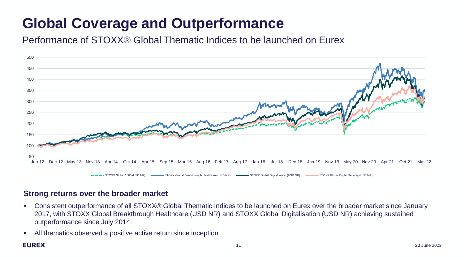### **Global Coverage and Outperformance**

Performance of STOXX® Global Thematic Indices to be launched on Eurex



#### **Strong returns over the broader market**

- Consistent outperformance of all STOXX® Global Thematic Indices to be launched on Eurex over the broader market since January 2017, with STOXX Global Breakthrough Healthcare (USD NR) and STOXX Global Digitalisation (USD NR) achieving sustained outperformance since July 2014.
- All thematics observed a positive active return since inception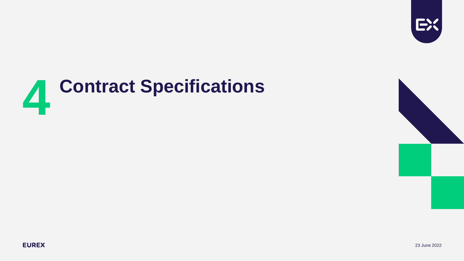

# **Contract Specifications 4**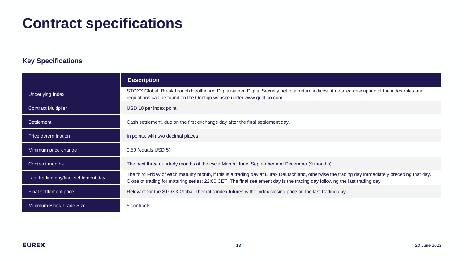### **Contract specifications**

#### **Key Specifications**

|                                       | <b>Description</b>                                                                                                                                                                                                                                                                |
|---------------------------------------|-----------------------------------------------------------------------------------------------------------------------------------------------------------------------------------------------------------------------------------------------------------------------------------|
| Underlying Index                      | STOXX Global Breakthrough Healthcare, Digitalisation, Digital Security net total return indices. A detailed description of the index rules and<br>regulations can be found on the Qontigo website under www.qontigo.com                                                           |
| <b>Contract Multiplier</b>            | USD 10 per index point.                                                                                                                                                                                                                                                           |
| Settlement                            | Cash settlement, due on the first exchange day after the final settlement day.                                                                                                                                                                                                    |
| Price determination                   | In points, with two decimal places.                                                                                                                                                                                                                                               |
| Minimum price change                  | 0.50 (equals USD 5).                                                                                                                                                                                                                                                              |
| Contract months                       | The next three quarterly months of the cycle March, June, September and December (9 months).                                                                                                                                                                                      |
| Last trading day/final settlement day | The third Friday of each maturity month, if this is a trading day at Eurex Deutschland, otherwise the trading day immediately preceding that day.<br>Close of trading for maturing series: 22:00 CET. The final settlement day is the trading day following the last trading day. |
| Final settlement price                | Relevant for the STOXX Global Thematic index futures is the index closing price on the last trading day.                                                                                                                                                                          |
| Minimum Block Trade Size              | 5 contracts                                                                                                                                                                                                                                                                       |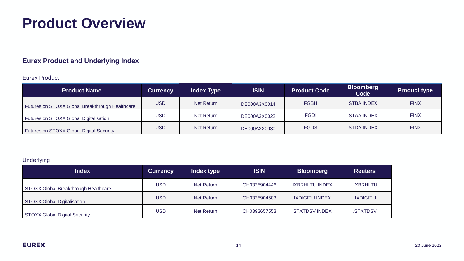### **Product Overview**

#### **Eurex Product and Underlying Index**

#### Eurex Product

| <b>Product Name</b>                             | <b>Currency</b> | <b>Index Type</b> | <b>ISIN</b>  | <b>Product Code</b> | <b>Bloomberg</b><br>Code | <b>Product type</b> |
|-------------------------------------------------|-----------------|-------------------|--------------|---------------------|--------------------------|---------------------|
| Futures on STOXX Global Breakthrough Healthcare | <b>USD</b>      | Net Return        | DE000A3X0014 | <b>FGBH</b>         | <b>STBA INDEX</b>        | <b>FINX</b>         |
| Futures on STOXX Global Digitalisation          | <b>USD</b>      | Net Return        | DE000A3X0022 | <b>FGDI</b>         | <b>STAA INDEX</b>        | <b>FINX</b>         |
| Futures on STOXX Global Digital Security        | <b>USD</b>      | Net Return        | DE000A3X0030 | <b>FGDS</b>         | <b>STDA INDEX</b>        | <b>FINX</b>         |

#### Underlying

| <b>Index</b>                                | <b>Currency</b> | Index type | <b>ISIN</b>  | <b>Bloomberg</b>      | <b>Reuters</b>  |
|---------------------------------------------|-----------------|------------|--------------|-----------------------|-----------------|
| <b>STOXX Global Breakthrough Healthcare</b> | <b>USD</b>      | Net Return | CH0325904446 | <b>IXBRHLTU INDEX</b> | .IXBRHLTU       |
| <b>STOXX Global Digitalisation</b>          | <b>USD</b>      | Net Return | CH0325904503 | <b>IXDIGITU INDEX</b> | <b>IXDIGITU</b> |
| <b>STOXX Global Digital Security</b>        | USD             | Net Return | CH0393657553 | <b>STXTDSV INDEX</b>  | .STXTDSV        |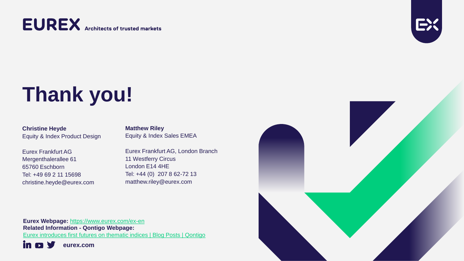### **EUREX** Architects of trusted markets



## **Thank you!**

**Christine Heyde** Equity & Index Product Design

Eurex Frankfurt AG Mergenthalerallee 61 65760 Eschborn Tel: +49 69 2 11 15698 christine.heyde@eurex.com **Matthew Riley** Equity & Index Sales EMEA

Eurex Frankfurt AG, London Branch 11 Westferry Circus London E14 4HE Tel: +44 (0) 207 8 62-72 13 matthew.riley@eurex.com

**Eurex Webpage:** <https://www.eurex.com/ex-en> **Related Information - Qontigo Webpage:** [Eurex introduces first futures on thematic indices | Blog Posts | Qontigo](https://qontigo.com/eurex-introduces-first-futures-on-thematic-indices/) in. **eurex.com**

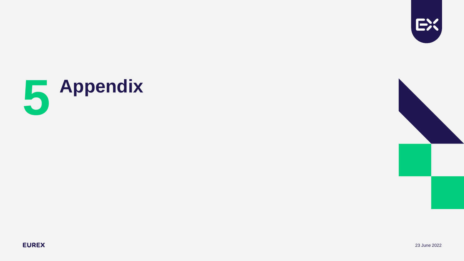





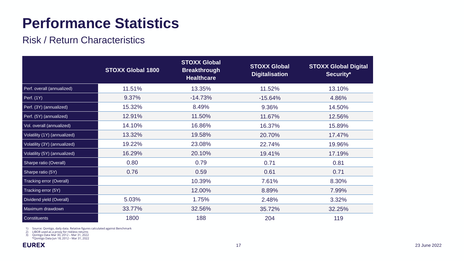### **Performance Statistics**

### Risk / Return Characteristics

|                              | <b>STOXX Global 1800</b> | <b>STOXX Global</b><br><b>Breakthrough</b><br><b>Healthcare</b> | <b>STOXX Global</b><br><b>Digitalisation</b> | <b>STOXX Global Digital</b><br>Security* |
|------------------------------|--------------------------|-----------------------------------------------------------------|----------------------------------------------|------------------------------------------|
| Perf. overall (annualized)   | 11.51%                   | 13.35%                                                          | 11.52%                                       | 13.10%                                   |
| Perf. (1Y)                   | 9.37%                    | $-14.73%$                                                       | $-15.64%$                                    | 4.86%                                    |
| Perf. (3Y) (annualized)      | 15.32%                   | 8.49%                                                           | 9.36%                                        | 14.50%                                   |
| Perf. (5Y) (annualized)      | 12.91%                   | 11.50%                                                          | 11.67%                                       | 12.56%                                   |
| Vol. overall (annualized)    | 14.10%                   | 16.86%                                                          | 16.37%                                       | 15.89%                                   |
| Volatility (1Y) (annualized) | 13.32%                   | 19.58%                                                          | 20.70%                                       | 17.47%                                   |
| Volatility (3Y) (annualized) | 19.22%                   | 23.08%                                                          | 22.74%                                       | 19.96%                                   |
| Volatility (5Y) (annualized) | 16.29%                   | 20.10%                                                          | 19.41%                                       | 17.19%                                   |
| Sharpe ratio (Overall)       | 0.80                     | 0.79                                                            | 0.71                                         | 0.81                                     |
| Sharpe ratio (5Y)            | 0.76                     | 0.59                                                            | 0.61                                         | 0.71                                     |
| Tracking error (Overall)     |                          | 10.39%                                                          | 7.61%                                        | 8.30%                                    |
| Tracking error (5Y)          |                          | 12.00%                                                          | 8.89%                                        | 7.99%                                    |
| Dividend yield (Overall)     | 5.03%                    | 1.75%                                                           | 2.48%                                        | 3.32%                                    |
| Maximum drawdown             | 33.77%                   | 32.56%                                                          | 35.72%                                       | 32.25%                                   |
| Constituents                 | 1800                     | 188                                                             | 204                                          | 119                                      |

1) Source: Qontigo, daily data. Relative figures calculated against Benchmark<br>2) LIBOR used as a proxy for riskless returns<br>3) Qontigo Data Jun 18, 2012 – Mar 31, 2022<br> \*Qontigo Data Jun 18, 2012 – Mar 31, 2022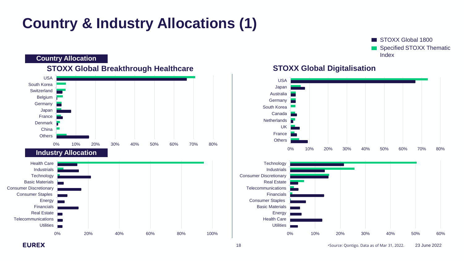### **Country & Industry Allocations (1)**

STOXX Global 1800 Specified STOXX Thematic **Country Allocation** and the set of the set of the set of the set of the set of the set of the set of the set of the set of the set of the set of the set of the set of the set of the set of the set of the set of the set of



#### **STOXX Global Digitalisation**

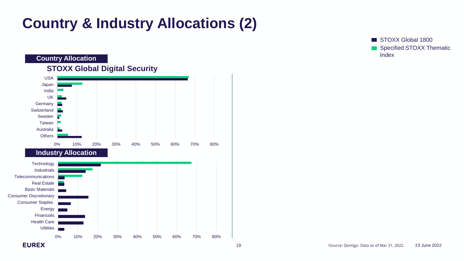### **Country & Industry Allocations (2)**

**Country Allocation STOXX Global Digital Security** USA Japan India UK Germany ÷ **Switzerland Contract** Sweden Taiwan Australia **Others** 0% 10% 20% 30% 40% 50% 60% 70% 80% **Industry Allocation Technology** Industrials **Telecommunications** Real Estate Basic Materials Consumer Discretionary Consumer Staples Energy Financials Health Care **Utilities** × 0% 10% 20% 30% 40% 50% 60% 70% 80% **EUREX** 

STOXX Global 1800 Specified STOXX Thematic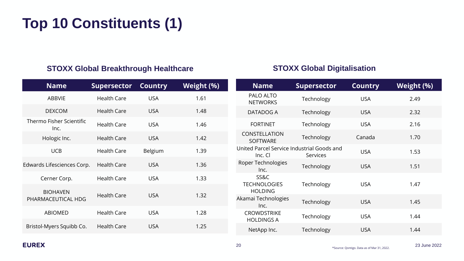### **Top 10 Constituents (1)**

#### **STOXX Global Breakthrough Healthcare**

| <b>Name</b>                           | <b>Supersector</b> | <b>Country</b> | Weight (%) |
|---------------------------------------|--------------------|----------------|------------|
| <b>ABBVIE</b>                         | <b>Health Care</b> | <b>USA</b>     | 1.61       |
| <b>DEXCOM</b>                         | <b>Health Care</b> | <b>USA</b>     | 1.48       |
| Thermo Fisher Scientific<br>Inc.      | <b>Health Care</b> | <b>USA</b>     | 1.46       |
| Hologic Inc.                          | <b>Health Care</b> | <b>USA</b>     | 1.42       |
| <b>UCB</b>                            | <b>Health Care</b> | Belgium        | 1.39       |
| Edwards Lifesciences Corp.            | <b>Health Care</b> | <b>USA</b>     | 1.36       |
| Cerner Corp.                          | <b>Health Care</b> | <b>USA</b>     | 1.33       |
| <b>BIOHAVEN</b><br>PHARMACEUTICAL HDG | <b>Health Care</b> | <b>USA</b>     | 1.32       |
| <b>ABIOMED</b>                        | <b>Health Care</b> | <b>USA</b>     | 1.28       |
| Bristol-Myers Squibb Co.              | <b>Health Care</b> | <b>USA</b>     | 1.25       |

#### **STOXX Global Digitalisation**

| <b>Name</b>                                           | <b>Supersector</b> | <b>Country</b> | Weight (%) |
|-------------------------------------------------------|--------------------|----------------|------------|
| PALO ALTO<br><b>NETWORKS</b>                          | Technology         | <b>USA</b>     | 2.49       |
| DATADOG A                                             | Technology         | <b>USA</b>     | 2.32       |
| <b>FORTINET</b>                                       | Technology         | <b>USA</b>     | 2.16       |
| CONSTELLATION<br><b>SOFTWARE</b>                      | Technology         | Canada         | 1.70       |
| United Parcel Service Industrial Goods and<br>Inc. Cl | <b>Services</b>    | <b>USA</b>     | 1.53       |
| Roper Technologies<br>Inc.                            | Technology         | <b>USA</b>     | 1.51       |
| SS&C<br><b>TECHNOLOGIES</b><br><b>HOLDING</b>         | Technology         | <b>USA</b>     | 1.47       |
| Akamai Technologies<br>Inc.                           | Technology         | <b>USA</b>     | 1.45       |
| <b>CROWDSTRIKE</b><br><b>HOLDINGS A</b>               | Technology         | <b>USA</b>     | 1.44       |
| NetApp Inc.                                           | Technology         | <b>USA</b>     | 1.44       |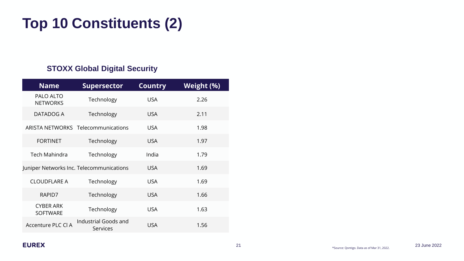### **Top 10 Constituents (2)**

#### **STOXX Global Digital Security**

| <b>Name</b>                         | <b>Supersector</b>                        | <b>Country</b> | Weight (%) |
|-------------------------------------|-------------------------------------------|----------------|------------|
| PALO ALTO<br><b>NETWORKS</b>        | Technology                                | <b>USA</b>     | 2.26       |
| DATADOG A                           | Technology                                | <b>USA</b>     | 2.11       |
|                                     | <b>ARISTA NETWORKS Telecommunications</b> | <b>USA</b>     | 1.98       |
| <b>FORTINET</b>                     | Technology                                | <b>USA</b>     | 1.97       |
| <b>Tech Mahindra</b>                | Technology                                | India          | 1.79       |
|                                     | Juniper Networks Inc. Telecommunications  | <b>USA</b>     | 1.69       |
| <b>CLOUDFLARE A</b>                 | Technology                                | <b>USA</b>     | 1.69       |
| RAPID7                              | Technology                                | <b>USA</b>     | 1.66       |
| <b>CYBER ARK</b><br><b>SOFTWARE</b> | Technology                                | <b>USA</b>     | 1.63       |
| Accenture PLC CLA                   | Industrial Goods and<br>Services          | USA            | 1.56       |